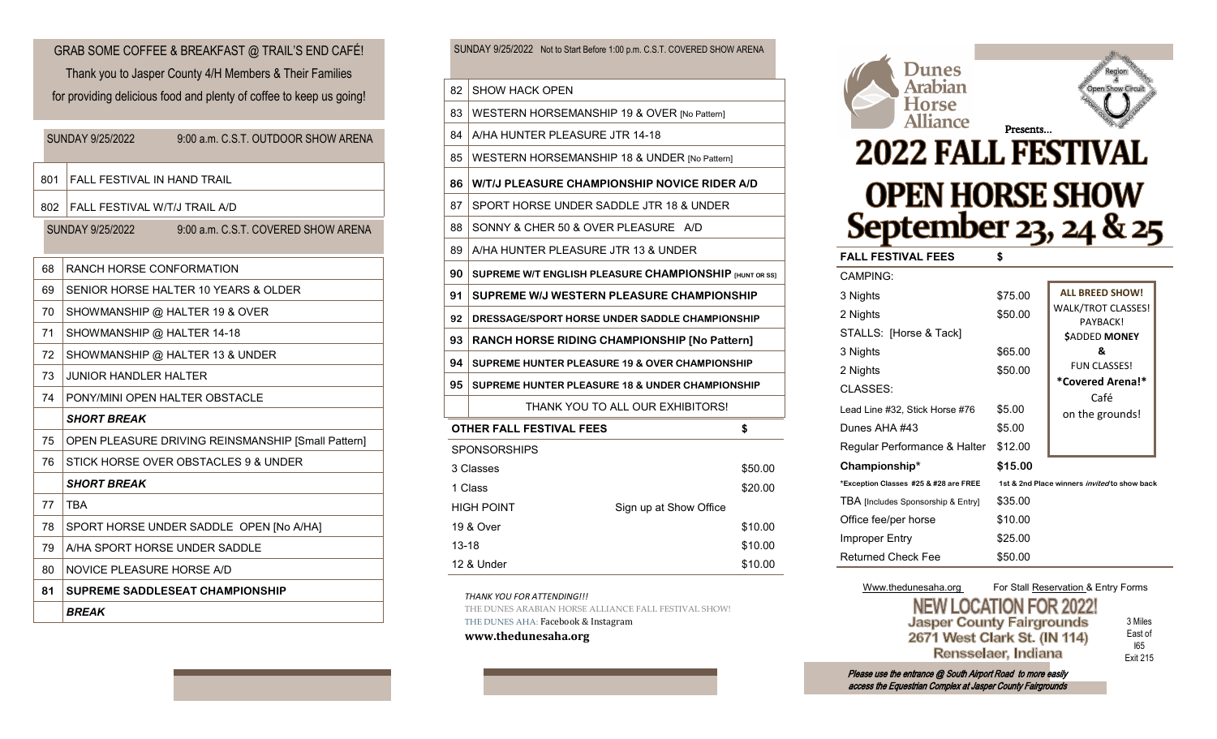801 FALL FESTIVAL IN HAND TRAIL 802 FALL FESTIVAL W/T/J TRAIL A/D 68 RANCH HORSE CONFORMATION 69 SENIOR HORSE HALTER 10 YEARS & OLDER 70 SHOWMANSHIP @ HALTER 19 & OVER 71 | SHOWMANSHIP @ HALTER 14-18 72 SHOWMANSHIP @ HALTER 13 & UNDER 73 JUNIOR HANDLER HALTER 74 PONY/MINI OPEN HALTER OBSTACLE SUNDAY 9/25/2022 9:00 a.m. C.S.T. OUTDOOR SHOW ARENA SUNDAY 9/25/2022 9:00 a.m. C.S.T. COVERED SHOW ARENA GRAB SOME COFFEE & BREAKFAST @ TRAIL'S END CAFÉ! Thank you to Jasper County 4/H Members & Their Families for providing delicious food and plenty of coffee to keep us going!

## *SHORT BREAK*

| 75 | OPEN PLEASURE DRIVING REINSMANSHIP [Small Pattern] |
|----|----------------------------------------------------|
| 76 | STICK HORSE OVER OBSTACLES 9 & UNDER               |
|    | <b>SHORT BREAK</b>                                 |
| 77 | TBA                                                |
| 78 | SPORT HORSE UNDER SADDLE OPEN INO A/HAI            |
| 79 | A/HA SPORT HORSE UNDER SADDLE                      |
| 80 | NOVICE PLEASURE HORSE A/D                          |
|    |                                                    |

**81 SUPREME SADDLESEAT CHAMPIONSHIP**

*BREAK*

SUNDAY 9/25/2022 Not to Start Before 1:00 p.m. C.S.T. COVERED SHOW ARENA

- 82 SHOW HACK OPEN
- 83 WESTERN HORSEMANSHIP 19 & OVER [No Pattern]
- 84 A/HA HUNTER PLEASURE JTR 14-18
- 85 | WESTERN HORSEMANSHIP 18 & UNDER [No Pattern]
- **86 W/T/J PLEASURE CHAMPIONSHIP NOVICE RIDER A/D** 87 SPORT HORSE UNDER SADDLE JTR 18 & UNDER
- 88 SONNY & CHER 50 & OVER PLEASURE A/D
- 89 A/HA HUNTER PLEASURE JTR 13 & UNDER
- **90 SUPREME W/T ENGLISH PLEASURE CHAMPIONSHIP [HUNT OR SS]**
- **91 SUPREME W/J WESTERN PLEASURE CHAMPIONSHIP**
- **92 DRESSAGE/SPORT HORSE UNDER SADDLE CHAMPIONSHIP**
- **93 RANCH HORSE RIDING CHAMPIONSHIP [No Pattern] 94 SUPREME HUNTER PLEASURE 19 & OVER CHAMPIONSHIP**
- **95 SUPREME HUNTER PLEASURE 18 & UNDER CHAMPIONSHIP** THANK YOU TO ALL OUR EXHIBITORS!

| <b>OTHER FALL FESTIVAL FEES</b> |                        | \$      |
|---------------------------------|------------------------|---------|
| <b>SPONSORSHIPS</b>             |                        |         |
| 3 Classes                       |                        | \$50.00 |
| 1 Class                         |                        | \$20.00 |
| <b>HIGH POINT</b>               | Sign up at Show Office |         |
| 19 & Over                       |                        | \$10.00 |
| 13-18                           |                        | \$10.00 |
| 12 & Under                      |                        | \$10.00 |
|                                 |                        |         |

*THANK YOU FOR ATTENDING!!!*

THE DUNES ARABIAN HORSE ALLIANCE FALL FESTIVAL SHOW

THE DUNES AHA: Facebook & Instagram

**www.thedunesaha.org**



Www.thedunesaha.org For Stall Reservation & Entry Forms **NEW LOCATION FOR 2022 Jasper County Fairgrounds** 3 Miles East of 2671 West Clark St. (IN 114) I65 Rensselaer, Indiana Exit 215

Please use the entrance @ South Airport Road to more easily access the Equestrian Complex at Jasper County Fairgrounds